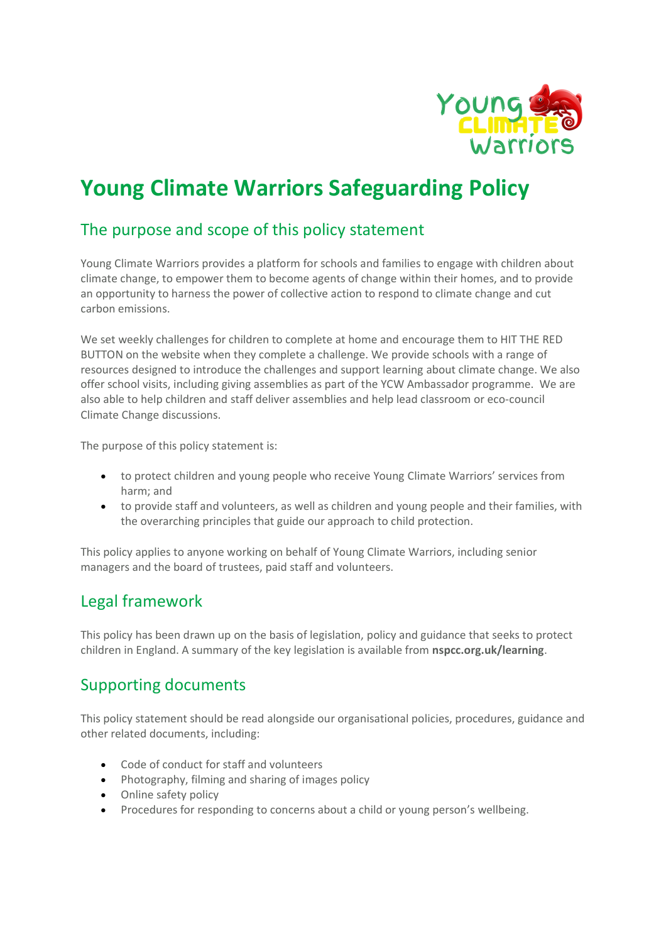

# **Young Climate Warriors Safeguarding Policy**

# The purpose and scope of this policy statement

Young Climate Warriors provides a platform for schools and families to engage with children about climate change, to empower them to become agents of change within their homes, and to provide an opportunity to harness the power of collective action to respond to climate change and cut carbon emissions.

We set weekly challenges for children to complete at home and encourage them to HIT THE RED BUTTON on the website when they complete a challenge. We provide schools with a range of resources designed to introduce the challenges and support learning about climate change. We also offer school visits, including giving assemblies as part of the YCW Ambassador programme. We are also able to help children and staff deliver assemblies and help lead classroom or eco-council Climate Change discussions.

The purpose of this policy statement is:

- to protect children and young people who receive Young Climate Warriors' services from harm; and
- to provide staff and volunteers, as well as children and young people and their families, with the overarching principles that guide our approach to child protection.

This policy applies to anyone working on behalf of Young Climate Warriors, including senior managers and the board of trustees, paid staff and volunteers.

### Legal framework

This policy has been drawn up on the basis of legislation, policy and guidance that seeks to protect children in England. A summary of the key legislation is available from **nspcc.org.uk/learning**.

### Supporting documents

This policy statement should be read alongside our organisational policies, procedures, guidance and other related documents, including:

- Code of conduct for staff and volunteers
- Photography, filming and sharing of images policy
- Online safety policy
- Procedures for responding to concerns about a child or young person's wellbeing.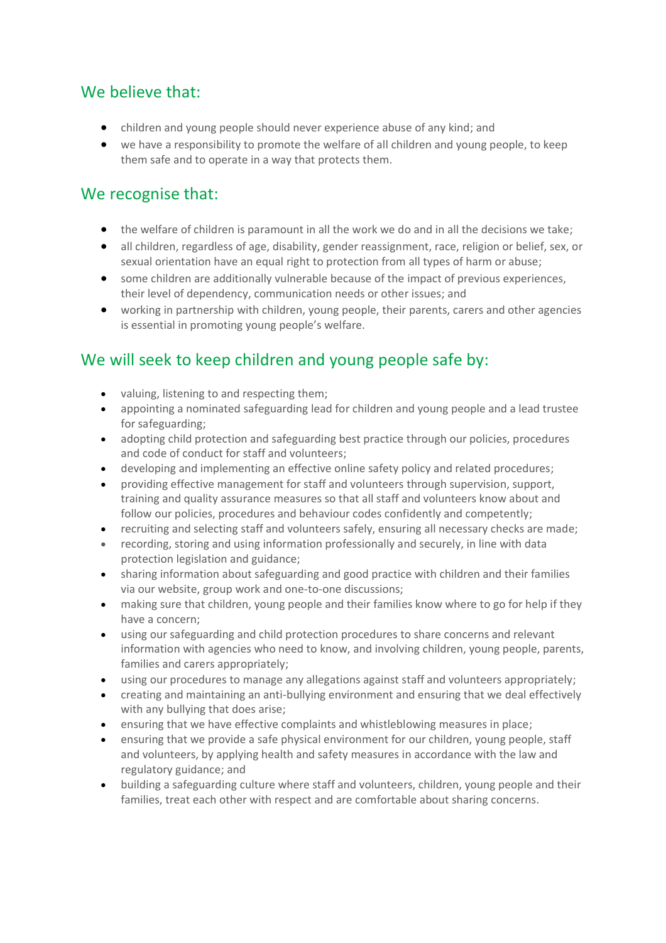## We believe that:

- children and young people should never experience abuse of any kind; and
- we have a responsibility to promote the welfare of all children and young people, to keep them safe and to operate in a way that protects them.

# We recognise that:

- the welfare of children is paramount in all the work we do and in all the decisions we take;
- all children, regardless of age, disability, gender reassignment, race, religion or belief, sex, or sexual orientation have an equal right to protection from all types of harm or abuse;
- some children are additionally vulnerable because of the impact of previous experiences, their level of dependency, communication needs or other issues; and
- working in partnership with children, young people, their parents, carers and other agencies is essential in promoting young people's welfare.

# We will seek to keep children and young people safe by:

- valuing, listening to and respecting them;
- appointing a nominated safeguarding lead for children and young people and a lead trustee for safeguarding;
- adopting child protection and safeguarding best practice through our policies, procedures and code of conduct for staff and volunteers;
- developing and implementing an effective online safety policy and related procedures;
- providing effective management for staff and volunteers through supervision, support, training and quality assurance measures so that all staff and volunteers know about and follow our policies, procedures and behaviour codes confidently and competently;
- recruiting and selecting staff and volunteers safely, ensuring all necessary checks are made;
- recording, storing and using information professionally and securely, in line with data protection legislation and guidance;
- sharing information about safeguarding and good practice with children and their families via our website, group work and one-to-one discussions;
- making sure that children, young people and their families know where to go for help if they have a concern;
- using our safeguarding and child protection procedures to share concerns and relevant information with agencies who need to know, and involving children, young people, parents, families and carers appropriately;
- using our procedures to manage any allegations against staff and volunteers appropriately;
- creating and maintaining an anti-bullying environment and ensuring that we deal effectively with any bullying that does arise;
- ensuring that we have effective complaints and whistleblowing measures in place;
- ensuring that we provide a safe physical environment for our children, young people, staff and volunteers, by applying health and safety measures in accordance with the law and regulatory guidance; and
- building a safeguarding culture where staff and volunteers, children, young people and their families, treat each other with respect and are comfortable about sharing concerns.